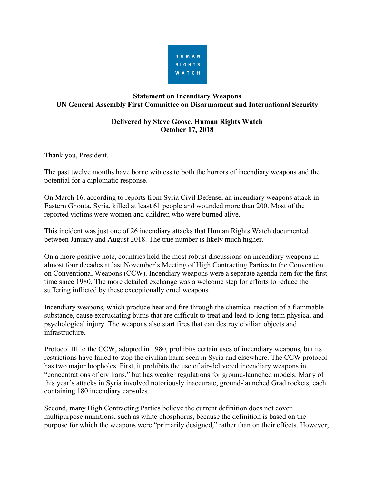

## **Statement on Incendiary Weapons UN General Assembly First Committee on Disarmament and International Security**

## **Delivered by Steve Goose, Human Rights Watch October 17, 2018**

Thank you, President.

The past twelve months have borne witness to both the horrors of incendiary weapons and the potential for a diplomatic response.

On March 16, according to reports from Syria Civil Defense, an incendiary weapons attack in Eastern Ghouta, Syria, killed at least 61 people and wounded more than 200. Most of the reported victims were women and children who were burned alive.

This incident was just one of 26 incendiary attacks that Human Rights Watch documented between January and August 2018. The true number is likely much higher.

On a more positive note, countries held the most robust discussions on incendiary weapons in almost four decades at last November's Meeting of High Contracting Parties to the Convention on Conventional Weapons (CCW). Incendiary weapons were a separate agenda item for the first time since 1980. The more detailed exchange was a welcome step for efforts to reduce the suffering inflicted by these exceptionally cruel weapons.

Incendiary weapons, which produce heat and fire through the chemical reaction of a flammable substance, cause excruciating burns that are difficult to treat and lead to long-term physical and psychological injury. The weapons also start fires that can destroy civilian objects and infrastructure.

Protocol III to the CCW, adopted in 1980, prohibits certain uses of incendiary weapons, but its restrictions have failed to stop the civilian harm seen in Syria and elsewhere. The CCW protocol has two major loopholes. First, it prohibits the use of air-delivered incendiary weapons in "concentrations of civilians," but has weaker regulations for ground-launched models. Many of this year's attacks in Syria involved notoriously inaccurate, ground-launched Grad rockets, each containing 180 incendiary capsules.

Second, many High Contracting Parties believe the current definition does not cover multipurpose munitions, such as white phosphorus, because the definition is based on the purpose for which the weapons were "primarily designed," rather than on their effects. However;